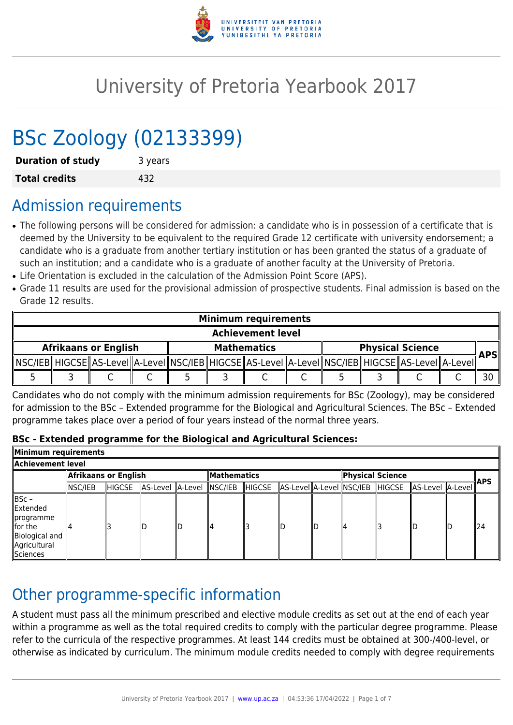

# University of Pretoria Yearbook 2017

# BSc Zoology (02133399)

| <b>Duration of study</b> | 3 years |
|--------------------------|---------|
| <b>Total credits</b>     | 432     |

# Admission requirements

- The following persons will be considered for admission: a candidate who is in possession of a certificate that is deemed by the University to be equivalent to the required Grade 12 certificate with university endorsement; a candidate who is a graduate from another tertiary institution or has been granted the status of a graduate of such an institution; and a candidate who is a graduate of another faculty at the University of Pretoria.
- Life Orientation is excluded in the calculation of the Admission Point Score (APS).
- Grade 11 results are used for the provisional admission of prospective students. Final admission is based on the Grade 12 results.

| <b>Minimum requirements</b> |  |  |  |                    |  |  |  |                         |  |                                                                                                               |  |     |
|-----------------------------|--|--|--|--------------------|--|--|--|-------------------------|--|---------------------------------------------------------------------------------------------------------------|--|-----|
| <b>Achievement level</b>    |  |  |  |                    |  |  |  |                         |  |                                                                                                               |  |     |
| <b>Afrikaans or English</b> |  |  |  | <b>Mathematics</b> |  |  |  | <b>Physical Science</b> |  |                                                                                                               |  |     |
|                             |  |  |  |                    |  |  |  |                         |  | _MSC/IEB HIGCSE  AS-LeveI  A-LeveI  NSC/IEB  HIGCSE  AS-LeveI  A-LeveI  NSC/IEB  HIGCSE  AS-LeveI  A-LeveI  ` |  | APS |
|                             |  |  |  |                    |  |  |  |                         |  |                                                                                                               |  |     |

Candidates who do not comply with the minimum admission requirements for BSc (Zoology), may be considered for admission to the BSc – Extended programme for the Biological and Agricultural Sciences. The BSc – Extended programme takes place over a period of four years instead of the normal three years.

#### **BSc - Extended programme for the Biological and Agricultural Sciences:**

| Minimum requirements                                                                          |                      |        |                  |  |                    |        |  |  |                  |  |                                                          |  |            |
|-----------------------------------------------------------------------------------------------|----------------------|--------|------------------|--|--------------------|--------|--|--|------------------|--|----------------------------------------------------------|--|------------|
| Achievement level.                                                                            |                      |        |                  |  |                    |        |  |  |                  |  |                                                          |  |            |
|                                                                                               | Afrikaans or English |        |                  |  | <b>Mathematics</b> |        |  |  | Physical Science |  |                                                          |  | <b>APS</b> |
|                                                                                               | ∥NSC/IEB             | HIGCSE | AS-Level A-Level |  | $ $ NSC/IEB        | HIGCSE |  |  |                  |  | AS-Level  A-Level  NSC/IEB   HIGCSE   AS-Level   A-Level |  |            |
| BSc -<br>Extended<br>∥programme<br>$\ $ for the<br>Biological and<br>Agricultural<br>Sciences |                      |        |                  |  |                    |        |  |  |                  |  |                                                          |  | 124        |

# Other programme-specific information

A student must pass all the minimum prescribed and elective module credits as set out at the end of each year within a programme as well as the total required credits to comply with the particular degree programme. Please refer to the curricula of the respective programmes. At least 144 credits must be obtained at 300-/400-level, or otherwise as indicated by curriculum. The minimum module credits needed to comply with degree requirements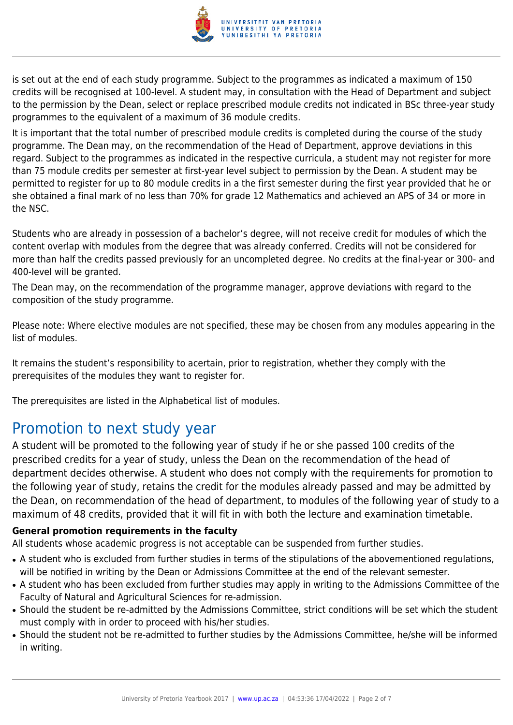

is set out at the end of each study programme. Subject to the programmes as indicated a maximum of 150 credits will be recognised at 100-level. A student may, in consultation with the Head of Department and subject to the permission by the Dean, select or replace prescribed module credits not indicated in BSc three-year study programmes to the equivalent of a maximum of 36 module credits.

It is important that the total number of prescribed module credits is completed during the course of the study programme. The Dean may, on the recommendation of the Head of Department, approve deviations in this regard. Subject to the programmes as indicated in the respective curricula, a student may not register for more than 75 module credits per semester at first-year level subject to permission by the Dean. A student may be permitted to register for up to 80 module credits in a the first semester during the first year provided that he or she obtained a final mark of no less than 70% for grade 12 Mathematics and achieved an APS of 34 or more in the NSC.

Students who are already in possession of a bachelor's degree, will not receive credit for modules of which the content overlap with modules from the degree that was already conferred. Credits will not be considered for more than half the credits passed previously for an uncompleted degree. No credits at the final-year or 300- and 400-level will be granted.

The Dean may, on the recommendation of the programme manager, approve deviations with regard to the composition of the study programme.

Please note: Where elective modules are not specified, these may be chosen from any modules appearing in the list of modules.

It remains the student's responsibility to acertain, prior to registration, whether they comply with the prerequisites of the modules they want to register for.

The prerequisites are listed in the Alphabetical list of modules.

# Promotion to next study year

A student will be promoted to the following year of study if he or she passed 100 credits of the prescribed credits for a year of study, unless the Dean on the recommendation of the head of department decides otherwise. A student who does not comply with the requirements for promotion to the following year of study, retains the credit for the modules already passed and may be admitted by the Dean, on recommendation of the head of department, to modules of the following year of study to a maximum of 48 credits, provided that it will fit in with both the lecture and examination timetable.

#### **General promotion requirements in the faculty**

All students whose academic progress is not acceptable can be suspended from further studies.

- A student who is excluded from further studies in terms of the stipulations of the abovementioned regulations, will be notified in writing by the Dean or Admissions Committee at the end of the relevant semester.
- A student who has been excluded from further studies may apply in writing to the Admissions Committee of the Faculty of Natural and Agricultural Sciences for re-admission.
- Should the student be re-admitted by the Admissions Committee, strict conditions will be set which the student must comply with in order to proceed with his/her studies.
- Should the student not be re-admitted to further studies by the Admissions Committee, he/she will be informed in writing.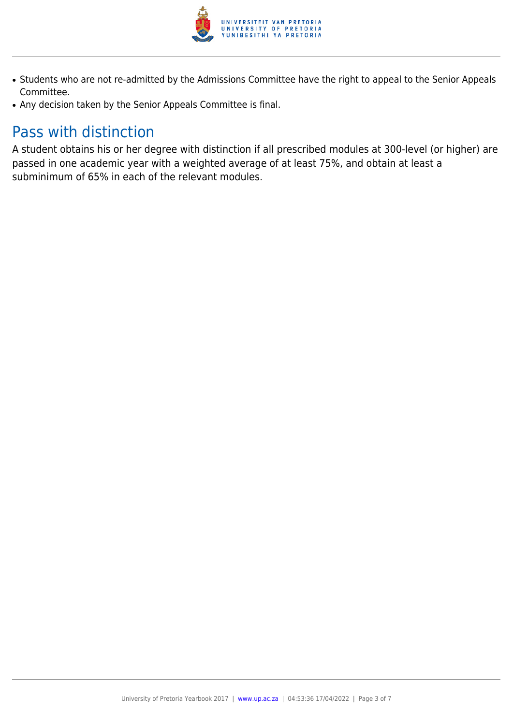

- Students who are not re-admitted by the Admissions Committee have the right to appeal to the Senior Appeals Committee.
- Any decision taken by the Senior Appeals Committee is final.

# Pass with distinction

A student obtains his or her degree with distinction if all prescribed modules at 300-level (or higher) are passed in one academic year with a weighted average of at least 75%, and obtain at least a subminimum of 65% in each of the relevant modules.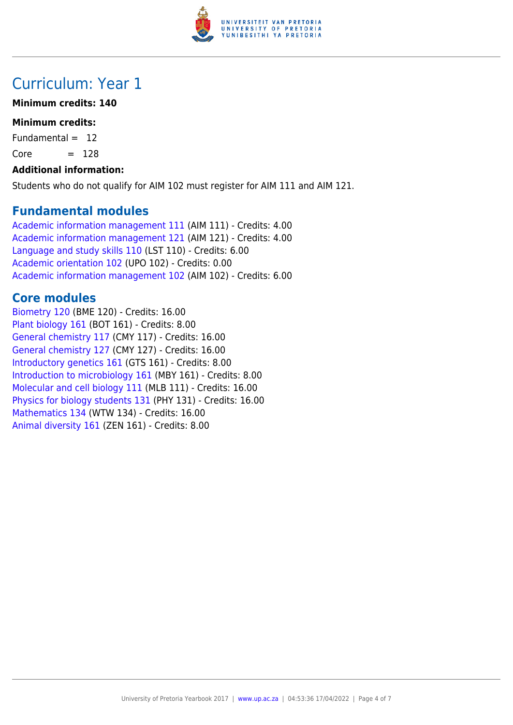

# Curriculum: Year 1

## **Minimum credits: 140**

## **Minimum credits:**

Fundamental  $= 12$ 

 $Core = 128$ 

## **Additional information:**

Students who do not qualify for AIM 102 must register for AIM 111 and AIM 121.

## **Fundamental modules**

[Academic information management 111](https://www.up.ac.za/parents/yearbooks/2017/modules/view/AIM 111) (AIM 111) - Credits: 4.00 [Academic information management 121](https://www.up.ac.za/parents/yearbooks/2017/modules/view/AIM 121) (AIM 121) - Credits: 4.00 [Language and study skills 110](https://www.up.ac.za/parents/yearbooks/2017/modules/view/LST 110) (LST 110) - Credits: 6.00 [Academic orientation 102](https://www.up.ac.za/parents/yearbooks/2017/modules/view/UPO 102) (UPO 102) - Credits: 0.00 [Academic information management 102](https://www.up.ac.za/parents/yearbooks/2017/modules/view/AIM 102) (AIM 102) - Credits: 6.00

# **Core modules**

[Biometry 120](https://www.up.ac.za/parents/yearbooks/2017/modules/view/BME 120) (BME 120) - Credits: 16.00 [Plant biology 161](https://www.up.ac.za/parents/yearbooks/2017/modules/view/BOT 161) (BOT 161) - Credits: 8.00 [General chemistry 117](https://www.up.ac.za/parents/yearbooks/2017/modules/view/CMY 117) (CMY 117) - Credits: 16.00 [General chemistry 127](https://www.up.ac.za/parents/yearbooks/2017/modules/view/CMY 127) (CMY 127) - Credits: 16.00 [Introductory genetics 161](https://www.up.ac.za/parents/yearbooks/2017/modules/view/GTS 161) (GTS 161) - Credits: 8.00 [Introduction to microbiology 161](https://www.up.ac.za/parents/yearbooks/2017/modules/view/MBY 161) (MBY 161) - Credits: 8.00 [Molecular and cell biology 111](https://www.up.ac.za/parents/yearbooks/2017/modules/view/MLB 111) (MLB 111) - Credits: 16.00 [Physics for biology students 131](https://www.up.ac.za/parents/yearbooks/2017/modules/view/PHY 131) (PHY 131) - Credits: 16.00 [Mathematics 134](https://www.up.ac.za/parents/yearbooks/2017/modules/view/WTW 134) (WTW 134) - Credits: 16.00 [Animal diversity 161](https://www.up.ac.za/parents/yearbooks/2017/modules/view/ZEN 161) (ZEN 161) - Credits: 8.00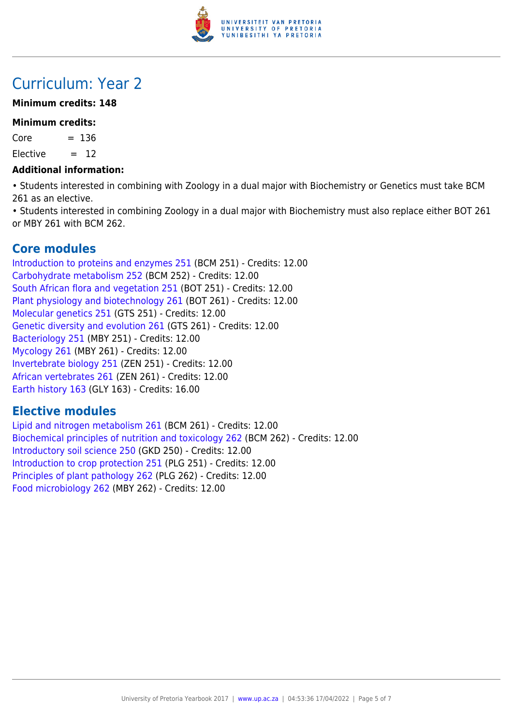

# Curriculum: Year 2

## **Minimum credits: 148**

## **Minimum credits:**

 $Core = 136$ 

 $Elective = 12$ 

#### **Additional information:**

• Students interested in combining with Zoology in a dual major with Biochemistry or Genetics must take BCM 261 as an elective.

• Students interested in combining Zoology in a dual major with Biochemistry must also replace either BOT 261 or MBY 261 with BCM 262.

# **Core modules**

[Introduction to proteins and enzymes 251](https://www.up.ac.za/parents/yearbooks/2017/modules/view/BCM 251) (BCM 251) - Credits: 12.00 [Carbohydrate metabolism 252](https://www.up.ac.za/parents/yearbooks/2017/modules/view/BCM 252) (BCM 252) - Credits: 12.00 [South African flora and vegetation 251](https://www.up.ac.za/parents/yearbooks/2017/modules/view/BOT 251) (BOT 251) - Credits: 12.00 [Plant physiology and biotechnology 261](https://www.up.ac.za/parents/yearbooks/2017/modules/view/BOT 261) (BOT 261) - Credits: 12.00 [Molecular genetics 251](https://www.up.ac.za/parents/yearbooks/2017/modules/view/GTS 251) (GTS 251) - Credits: 12.00 [Genetic diversity and evolution 261](https://www.up.ac.za/parents/yearbooks/2017/modules/view/GTS 261) (GTS 261) - Credits: 12.00 [Bacteriology 251](https://www.up.ac.za/parents/yearbooks/2017/modules/view/MBY 251) (MBY 251) - Credits: 12.00 [Mycology 261](https://www.up.ac.za/parents/yearbooks/2017/modules/view/MBY 261) (MBY 261) - Credits: 12.00 [Invertebrate biology 251](https://www.up.ac.za/parents/yearbooks/2017/modules/view/ZEN 251) (ZEN 251) - Credits: 12.00 [African vertebrates 261](https://www.up.ac.za/parents/yearbooks/2017/modules/view/ZEN 261) (ZEN 261) - Credits: 12.00 [Earth history 163](https://www.up.ac.za/parents/yearbooks/2017/modules/view/GLY 163) (GLY 163) - Credits: 16.00

# **Elective modules**

[Lipid and nitrogen metabolism 261](https://www.up.ac.za/parents/yearbooks/2017/modules/view/BCM 261) (BCM 261) - Credits: 12.00 [Biochemical principles of nutrition and toxicology 262](https://www.up.ac.za/parents/yearbooks/2017/modules/view/BCM 262) (BCM 262) - Credits: 12.00 [Introductory soil science 250](https://www.up.ac.za/parents/yearbooks/2017/modules/view/GKD 250) (GKD 250) - Credits: 12.00 [Introduction to crop protection 251](https://www.up.ac.za/parents/yearbooks/2017/modules/view/PLG 251) (PLG 251) - Credits: 12.00 [Principles of plant pathology 262](https://www.up.ac.za/parents/yearbooks/2017/modules/view/PLG 262) (PLG 262) - Credits: 12.00 [Food microbiology 262](https://www.up.ac.za/parents/yearbooks/2017/modules/view/MBY 262) (MBY 262) - Credits: 12.00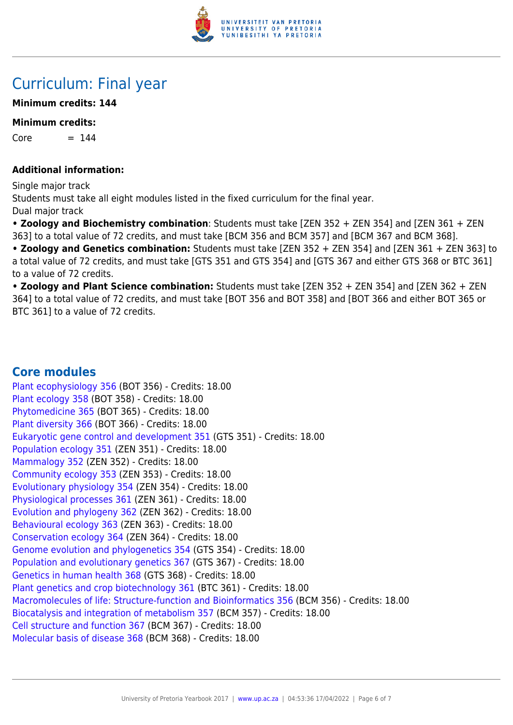

# Curriculum: Final year

## **Minimum credits: 144**

#### **Minimum credits:**

 $Core = 144$ 

#### **Additional information:**

Single major track Students must take all eight modules listed in the fixed curriculum for the final year. Dual major track

**• Zoology and Biochemistry combination**: Students must take [ZEN 352 + ZEN 354] and [ZEN 361 + ZEN 363] to a total value of 72 credits, and must take [BCM 356 and BCM 357] and [BCM 367 and BCM 368].

**• Zoology and Genetics combination:** Students must take [ZEN 352 + ZEN 354] and [ZEN 361 + ZEN 363] to a total value of 72 credits, and must take [GTS 351 and GTS 354] and [GTS 367 and either GTS 368 or BTC 361] to a value of 72 credits.

**• Zoology and Plant Science combination:** Students must take [ZEN 352 + ZEN 354] and [ZEN 362 + ZEN 364] to a total value of 72 credits, and must take [BOT 356 and BOT 358] and [BOT 366 and either BOT 365 or BTC 361] to a value of 72 credits.

# **Core modules**

[Plant ecophysiology 356](https://www.up.ac.za/parents/yearbooks/2017/modules/view/BOT 356) (BOT 356) - Credits: 18.00 [Plant ecology 358](https://www.up.ac.za/parents/yearbooks/2017/modules/view/BOT 358) (BOT 358) - Credits: 18.00 [Phytomedicine 365](https://www.up.ac.za/parents/yearbooks/2017/modules/view/BOT 365) (BOT 365) - Credits: 18.00 [Plant diversity 366](https://www.up.ac.za/parents/yearbooks/2017/modules/view/BOT 366) (BOT 366) - Credits: 18.00 [Eukaryotic gene control and development 351](https://www.up.ac.za/parents/yearbooks/2017/modules/view/GTS 351) (GTS 351) - Credits: 18.00 [Population ecology 351](https://www.up.ac.za/parents/yearbooks/2017/modules/view/ZEN 351) (ZEN 351) - Credits: 18.00 [Mammalogy 352](https://www.up.ac.za/parents/yearbooks/2017/modules/view/ZEN 352) (ZEN 352) - Credits: 18.00 [Community ecology 353](https://www.up.ac.za/parents/yearbooks/2017/modules/view/ZEN 353) (ZEN 353) - Credits: 18.00 [Evolutionary physiology 354](https://www.up.ac.za/parents/yearbooks/2017/modules/view/ZEN 354) (ZEN 354) - Credits: 18.00 [Physiological processes 361](https://www.up.ac.za/parents/yearbooks/2017/modules/view/ZEN 361) (ZEN 361) - Credits: 18.00 [Evolution and phylogeny 362](https://www.up.ac.za/parents/yearbooks/2017/modules/view/ZEN 362) (ZEN 362) - Credits: 18.00 [Behavioural ecology 363](https://www.up.ac.za/parents/yearbooks/2017/modules/view/ZEN 363) (ZEN 363) - Credits: 18.00 [Conservation ecology 364](https://www.up.ac.za/parents/yearbooks/2017/modules/view/ZEN 364) (ZEN 364) - Credits: 18.00 [Genome evolution and phylogenetics 354](https://www.up.ac.za/parents/yearbooks/2017/modules/view/GTS 354) (GTS 354) - Credits: 18.00 [Population and evolutionary genetics 367](https://www.up.ac.za/parents/yearbooks/2017/modules/view/GTS 367) (GTS 367) - Credits: 18.00 [Genetics in human health 368](https://www.up.ac.za/parents/yearbooks/2017/modules/view/GTS 368) (GTS 368) - Credits: 18.00 [Plant genetics and crop biotechnology 361](https://www.up.ac.za/parents/yearbooks/2017/modules/view/BTC 361) (BTC 361) - Credits: 18.00 [Macromolecules of life: Structure-function and Bioinformatics 356](https://www.up.ac.za/parents/yearbooks/2017/modules/view/BCM 356) (BCM 356) - Credits: 18.00 [Biocatalysis and integration of metabolism 357](https://www.up.ac.za/parents/yearbooks/2017/modules/view/BCM 357) (BCM 357) - Credits: 18.00 [Cell structure and function 367](https://www.up.ac.za/parents/yearbooks/2017/modules/view/BCM 367) (BCM 367) - Credits: 18.00 [Molecular basis of disease 368](https://www.up.ac.za/parents/yearbooks/2017/modules/view/BCM 368) (BCM 368) - Credits: 18.00